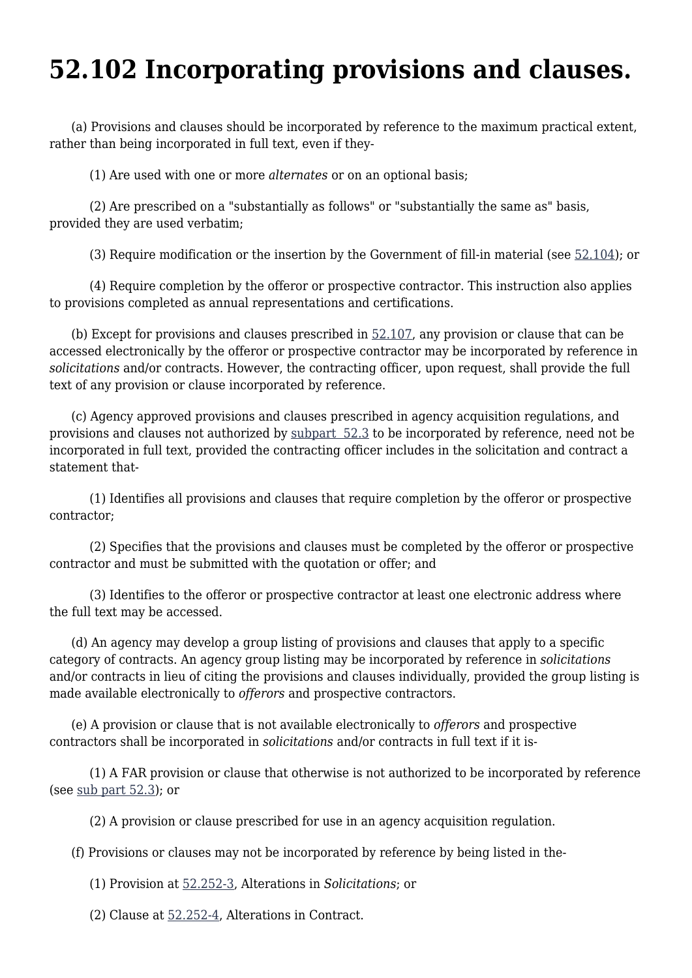## **52.102 Incorporating provisions and clauses.**

 (a) Provisions and clauses should be incorporated by reference to the maximum practical extent, rather than being incorporated in full text, even if they-

(1) Are used with one or more *alternates* or on an optional basis;

 (2) Are prescribed on a "substantially as follows" or "substantially the same as" basis, provided they are used verbatim;

(3) Require modification or the insertion by the Government of fill-in material (see [52.104](https://www.acquisition.gov/far/52.104#FAR_52_104)); or

 (4) Require completion by the offeror or prospective contractor. This instruction also applies to provisions completed as annual representations and certifications.

(b) Except for provisions and clauses prescribed in  $52.107$ , any provision or clause that can be accessed electronically by the offeror or prospective contractor may be incorporated by reference in *solicitations* and/or contracts. However, the contracting officer, upon request, shall provide the full text of any provision or clause incorporated by reference.

 (c) Agency approved provisions and clauses prescribed in agency acquisition regulations, and provisions and clauses not authorized by [subpart 52.3](https://www.acquisition.gov/far/subpart-52.3#FAR_Subpart_52_3) to be incorporated by reference, need not be incorporated in full text, provided the contracting officer includes in the solicitation and contract a statement that-

 (1) Identifies all provisions and clauses that require completion by the offeror or prospective contractor;

 (2) Specifies that the provisions and clauses must be completed by the offeror or prospective contractor and must be submitted with the quotation or offer; and

 (3) Identifies to the offeror or prospective contractor at least one electronic address where the full text may be accessed.

 (d) An agency may develop a group listing of provisions and clauses that apply to a specific category of contracts. An agency group listing may be incorporated by reference in *solicitations* and/or contracts in lieu of citing the provisions and clauses individually, provided the group listing is made available electronically to *offerors* and prospective contractors.

 (e) A provision or clause that is not available electronically to *offerors* and prospective contractors shall be incorporated in *solicitations* and/or contracts in full text if it is-

 (1) A FAR provision or clause that otherwise is not authorized to be incorporated by reference (see  $sub part 52.3$ ); or

(2) A provision or clause prescribed for use in an agency acquisition regulation.

(f) Provisions or clauses may not be incorporated by reference by being listed in the-

(1) Provision at [52.252-3](https://www.acquisition.gov/far/52.252-3#FAR_52_252_3), Alterations in *Solicitations*; or

(2) Clause at [52.252-4,](https://www.acquisition.gov/far/52.252-4#FAR_52_252_4) Alterations in Contract.